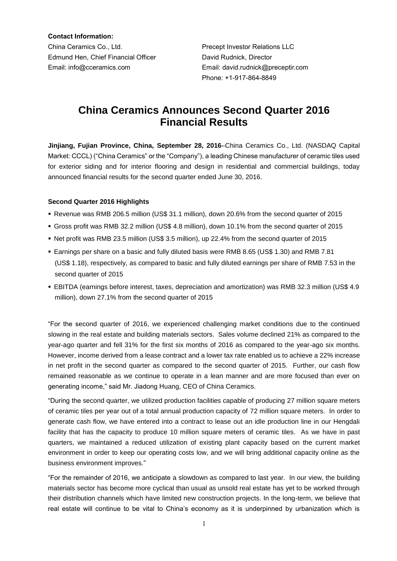**Contact Information:** China Ceramics Co., Ltd. Precept Investor Relations LLC Edmund Hen, Chief Financial Officer **David Rudnick, Director** Email: info@cceramics.com Email: david.rudnick@preceptir.com

Phone: +1-917-864-8849

# **China Ceramics Announces Second Quarter 2016 Financial Results**

**Jinjiang, Fujian Province, China, September 28, 2016**–China Ceramics Co., Ltd. (NASDAQ Capital Market: CCCL) ("China Ceramics" or the "Company"), a leading Chinese manufacturer of ceramic tiles used for exterior siding and for interior flooring and design in residential and commercial buildings, today announced financial results for the second quarter ended June 30, 2016.

## **Second Quarter 2016 Highlights**

- Revenue was RMB 206.5 million (US\$ 31.1 million), down 20.6% from the second quarter of 2015
- Gross profit was RMB 32.2 million (US\$ 4.8 million), down 10.1% from the second quarter of 2015
- Net profit was RMB 23.5 million (US\$ 3.5 million), up 22.4% from the second quarter of 2015
- Earnings per share on a basic and fully diluted basis were RMB 8.65 (US\$ 1.30) and RMB 7.81 (US\$ 1.18), respectively, as compared to basic and fully diluted earnings per share of RMB 7.53 in the second quarter of 2015
- EBITDA (earnings before interest, taxes, depreciation and amortization) was RMB 32.3 million (US\$ 4.9 million), down 27.1% from the second quarter of 2015

"For the second quarter of 2016, we experienced challenging market conditions due to the continued slowing in the real estate and building materials sectors. Sales volume declined 21% as compared to the year-ago quarter and fell 31% for the first six months of 2016 as compared to the year-ago six months. However, income derived from a lease contract and a lower tax rate enabled us to achieve a 22% increase in net profit in the second quarter as compared to the second quarter of 2015. Further, our cash flow remained reasonable as we continue to operate in a lean manner and are more focused than ever on generating income," said Mr. Jiadong Huang, CEO of China Ceramics.

"During the second quarter, we utilized production facilities capable of producing 27 million square meters of ceramic tiles per year out of a total annual production capacity of 72 million square meters. In order to generate cash flow, we have entered into a contract to lease out an idle production line in our Hengdali facility that has the capacity to produce 10 million square meters of ceramic tiles. As we have in past quarters, we maintained a reduced utilization of existing plant capacity based on the current market environment in order to keep our operating costs low, and we will bring additional capacity online as the business environment improves."

"For the remainder of 2016, we anticipate a slowdown as compared to last year. In our view, the building materials sector has become more cyclical than usual as unsold real estate has yet to be worked through their distribution channels which have limited new construction projects. In the long-term, we believe that real estate will continue to be vital to China's economy as it is underpinned by urbanization which is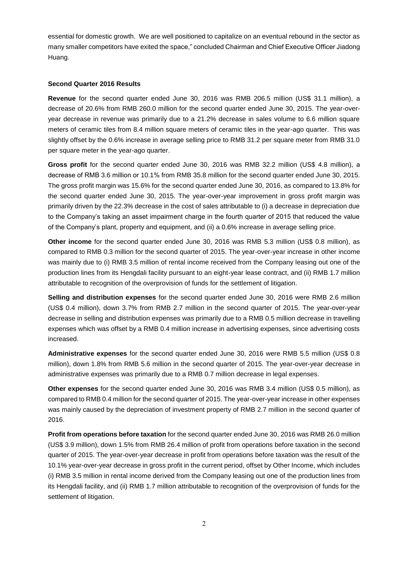essential for domestic growth. We are well positioned to capitalize on an eventual rebound in the sector as many smaller competitors have exited the space," concluded Chairman and Chief Executive Officer Jiadong Huang.

## **Second Quarter 2016 Results**

Revenue for the second quarter ended June 30, 2016 was RMB 206.5 million (US\$ 31.1 million), a decrease of 20.6% from RMB 260.0 million for the second quarter ended June 30, 2015. The year-overyear decrease in revenue was primarily due to a 21.2% decrease in sales volume to 6.6 million square meters of ceramic tiles from 8.4 million square meters of ceramic tiles in the year-ago quarter. This was slightly offset by the 0.6% increase in average selling price to RMB 31.2 per square meter from RMB 31.0 per square meter in the year-ago quarter.

Gross profit for the second quarter ended June 30, 2016 was RMB 32.2 million (US\$ 4.8 million), a decrease of RMB 3.6 million or 10.1% from RMB 35.8 million for the second quarter ended June 30, 2015. The gross profit margin was 15.6% for the second quarter ended June 30, 2016, as compared to 13.8% for the second quarter ended June 30, 2015. The year-over-year improvement in gross profit margin was primarily driven by the 22.3% decrease in the cost of sales attributable to (i) a decrease in depreciation due to the Company's taking an asset impairment charge in the fourth quarter of 2015 that reduced the value of the Company's plant, property and equipment, and (ii) a 0.6% increase in average selling price.

**Other income** for the second quarter ended June 30, 2016 was RMB 5.3 million (US\$ 0.8 million), as compared to RMB 0.3 million for the second quarter of 2015. The year-over-year increase in other income was mainly due to (i) RMB 3.5 million of rental income received from the Company leasing out one of the production lines from its Hengdali facility pursuant to an eight-year lease contract, and (ii) RMB 1.7 million attributable to recognition of the overprovision of funds for the settlement of litigation.

**Selling and distribution expenses** for the second quarter ended June 30, 2016 were RMB 2.6 million (US\$ 0.4 million), down 3.7% from RMB 2.7 million in the second quarter of 2015. The year-over-year decrease in selling and distribution expenses was primarily due to a RMB 0.5 million decrease in travelling expenses which was offset by a RMB 0.4 million increase in advertising expenses, since advertising costs increased.

**Administrative expenses** for the second quarter ended June 30, 2016 were RMB 5.5 million (US\$ 0.8 million), down 1.8% from RMB 5.6 million in the second quarter of 2015. The year-over-year decrease in administrative expenses was primarily due to a RMB 0.7 million decrease in legal expenses.

**Other expenses** for the second quarter ended June 30, 2016 was RMB 3.4 million (US\$ 0.5 million), as compared to RMB 0.4 million for the second quarter of 2015. The year-over-year increase in other expenses was mainly caused by the depreciation of investment property of RMB 2.7 million in the second quarter of 2016.

**Profit from operations before taxation** for the second quarter ended June 30, 2016 was RMB 26.0 million (US\$ 3.9 million), down 1.5% from RMB 26.4 million of profit from operations before taxation in the second quarter of 2015. The year-over-year decrease in profit from operations before taxation was the result of the 10.1% year-over-year decrease in gross profit in the current period, offset by Other Income, which includes (i) RMB 3.5 million in rental income derived from the Company leasing out one of the production lines from its Hengdali facility, and (ii) RMB 1.7 million attributable to recognition of the overprovision of funds for the settlement of litigation.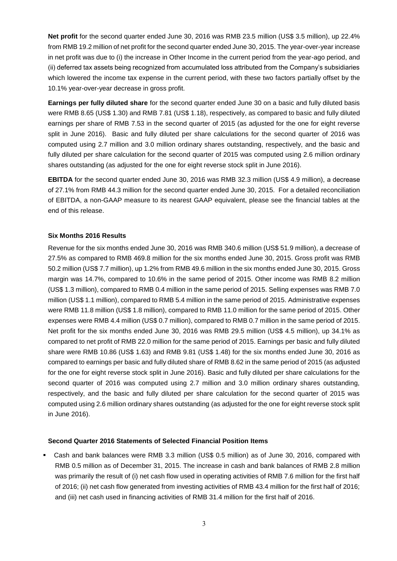**Net profit** for the second quarter ended June 30, 2016 was RMB 23.5 million (US\$ 3.5 million), up 22.4% from RMB 19.2 million of net profit for the second quarter ended June 30, 2015. The year-over-year increase in net profit was due to (i) the increase in Other Income in the current period from the year-ago period, and (ii) deferred tax assets being recognized from accumulated loss attributed from the Company's subsidiaries which lowered the income tax expense in the current period, with these two factors partially offset by the 10.1% year-over-year decrease in gross profit.

**Earnings per fully diluted share** for the second quarter ended June 30 on a basic and fully diluted basis were RMB 8.65 (US\$ 1.30) and RMB 7.81 (US\$ 1.18), respectively, as compared to basic and fully diluted earnings per share of RMB 7.53 in the second quarter of 2015 (as adjusted for the one for eight reverse split in June 2016). Basic and fully diluted per share calculations for the second quarter of 2016 was computed using 2.7 million and 3.0 million ordinary shares outstanding, respectively, and the basic and fully diluted per share calculation for the second quarter of 2015 was computed using 2.6 million ordinary shares outstanding (as adjusted for the one for eight reverse stock split in June 2016).

**EBITDA** for the second quarter ended June 30, 2016 was RMB 32.3 million (US\$ 4.9 million), a decrease of 27.1% from RMB 44.3 million for the second quarter ended June 30, 2015. For a detailed reconciliation of EBITDA, a non-GAAP measure to its nearest GAAP equivalent, please see the financial tables at the end of this release.

## **Six Months 2016 Results**

Revenue for the six months ended June 30, 2016 was RMB 340.6 million (US\$ 51.9 million), a decrease of 27.5% as compared to RMB 469.8 million for the six months ended June 30, 2015. Gross profit was RMB 50.2 million (US\$ 7.7 million), up 1.2% from RMB 49.6 million in the six months ended June 30, 2015. Gross margin was 14.7%, compared to 10.6% in the same period of 2015. Other income was RMB 8.2 million (US\$ 1.3 million), compared to RMB 0.4 million in the same period of 2015. Selling expenses was RMB 7.0 million (US\$ 1.1 million), compared to RMB 5.4 million in the same period of 2015. Administrative expenses were RMB 11.8 million (US\$ 1.8 million), compared to RMB 11.0 million for the same period of 2015. Other expenses were RMB 4.4 million (US\$ 0.7 million), compared to RMB 0.7 million in the same period of 2015. Net profit for the six months ended June 30, 2016 was RMB 29.5 million (US\$ 4.5 million), up 34.1% as compared to net profit of RMB 22.0 million for the same period of 2015. Earnings per basic and fully diluted share were RMB 10.86 (US\$ 1.63) and RMB 9.81 (US\$ 1.48) for the six months ended June 30, 2016 as compared to earnings per basic and fully diluted share of RMB 8.62 in the same period of 2015 (as adjusted for the one for eight reverse stock split in June 2016). Basic and fully diluted per share calculations for the second quarter of 2016 was computed using 2.7 million and 3.0 million ordinary shares outstanding, respectively, and the basic and fully diluted per share calculation for the second quarter of 2015 was computed using 2.6 million ordinary shares outstanding (as adjusted for the one for eight reverse stock split in June 2016).

#### **Second Quarter 2016 Statements of Selected Financial Position Items**

 Cash and bank balances were RMB 3.3 million (US\$ 0.5 million) as of June 30, 2016, compared with RMB 0.5 million as of December 31, 2015. The increase in cash and bank balances of RMB 2.8 million was primarily the result of (i) net cash flow used in operating activities of RMB 7.6 million for the first half of 2016; (ii) net cash flow generated from investing activities of RMB 43.4 million for the first half of 2016; and (iii) net cash used in financing activities of RMB 31.4 million for the first half of 2016.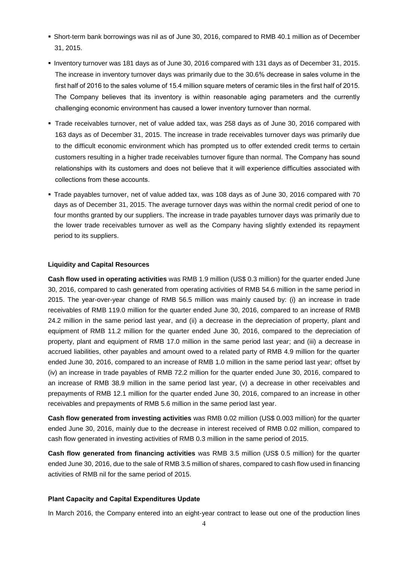- Short-term bank borrowings was nil as of June 30, 2016, compared to RMB 40.1 million as of December 31, 2015.
- Inventory turnover was 181 days as of June 30, 2016 compared with 131 days as of December 31, 2015. The increase in inventory turnover days was primarily due to the 30.6% decrease in sales volume in the first half of 2016 to the sales volume of 15.4 million square meters of ceramic tiles in the first half of 2015. The Company believes that its inventory is within reasonable aging parameters and the currently challenging economic environment has caused a lower inventory turnover than normal.
- Trade receivables turnover, net of value added tax, was 258 days as of June 30, 2016 compared with 163 days as of December 31, 2015. The increase in trade receivables turnover days was primarily due to the difficult economic environment which has prompted us to offer extended credit terms to certain customers resulting in a higher trade receivables turnover figure than normal. The Company has sound relationships with its customers and does not believe that it will experience difficulties associated with collections from these accounts.
- Trade payables turnover, net of value added tax, was 108 days as of June 30, 2016 compared with 70 days as of December 31, 2015. The average turnover days was within the normal credit period of one to four months granted by our suppliers. The increase in trade payables turnover days was primarily due to the lower trade receivables turnover as well as the Company having slightly extended its repayment period to its suppliers.

#### **Liquidity and Capital Resources**

**Cash flow used in operating activities** was RMB 1.9 million (US\$ 0.3 million) for the quarter ended June 30, 2016, compared to cash generated from operating activities of RMB 54.6 million in the same period in 2015. The year-over-year change of RMB 56.5 million was mainly caused by: (i) an increase in trade receivables of RMB 119.0 million for the quarter ended June 30, 2016, compared to an increase of RMB 24.2 million in the same period last year, and (ii) a decrease in the depreciation of property, plant and equipment of RMB 11.2 million for the quarter ended June 30, 2016, compared to the depreciation of property, plant and equipment of RMB 17.0 million in the same period last year; and (iii) a decrease in accrued liabilities, other payables and amount owed to a related party of RMB 4.9 million for the quarter ended June 30, 2016, compared to an increase of RMB 1.0 million in the same period last year; offset by (iv) an increase in trade payables of RMB 72.2 million for the quarter ended June 30, 2016, compared to an increase of RMB 38.9 million in the same period last year, (v) a decrease in other receivables and prepayments of RMB 12.1 million for the quarter ended June 30, 2016, compared to an increase in other receivables and prepayments of RMB 5.6 million in the same period last year.

**Cash flow generated from investing activities** was RMB 0.02 million (US\$ 0.003 million) for the quarter ended June 30, 2016, mainly due to the decrease in interest received of RMB 0.02 million, compared to cash flow generated in investing activities of RMB 0.3 million in the same period of 2015.

**Cash flow generated from financing activities** was RMB 3.5 million (US\$ 0.5 million) for the quarter ended June 30, 2016, due to the sale of RMB 3.5 million of shares, compared to cash flow used in financing activities of RMB nil for the same period of 2015.

## **Plant Capacity and Capital Expenditures Update**

In March 2016, the Company entered into an eight-year contract to lease out one of the production lines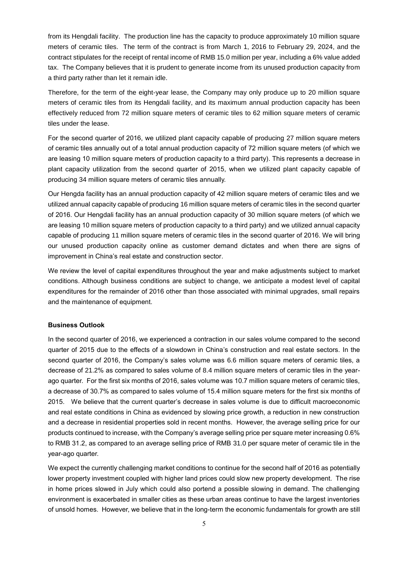from its Hengdali facility. The production line has the capacity to produce approximately 10 million square meters of ceramic tiles. The term of the contract is from March 1, 2016 to February 29, 2024, and the contract stipulates for the receipt of rental income of RMB 15.0 million per year, including a 6% value added tax. The Company believes that it is prudent to generate income from its unused production capacity from a third party rather than let it remain idle.

Therefore, for the term of the eight-year lease, the Company may only produce up to 20 million square meters of ceramic tiles from its Hengdali facility, and its maximum annual production capacity has been effectively reduced from 72 million square meters of ceramic tiles to 62 million square meters of ceramic tiles under the lease.

For the second quarter of 2016, we utilized plant capacity capable of producing 27 million square meters of ceramic tiles annually out of a total annual production capacity of 72 million square meters (of which we are leasing 10 million square meters of production capacity to a third party). This represents a decrease in plant capacity utilization from the second quarter of 2015, when we utilized plant capacity capable of producing 34 million square meters of ceramic tiles annually.

Our Hengda facility has an annual production capacity of 42 million square meters of ceramic tiles and we utilized annual capacity capable of producing 16 million square meters of ceramic tiles in the second quarter of 2016. Our Hengdali facility has an annual production capacity of 30 million square meters (of which we are leasing 10 million square meters of production capacity to a third party) and we utilized annual capacity capable of producing 11 million square meters of ceramic tiles in the second quarter of 2016. We will bring our unused production capacity online as customer demand dictates and when there are signs of improvement in China's real estate and construction sector.

We review the level of capital expenditures throughout the year and make adjustments subject to market conditions. Although business conditions are subject to change, we anticipate a modest level of capital expenditures for the remainder of 2016 other than those associated with minimal upgrades, small repairs and the maintenance of equipment.

## **Business Outlook**

In the second quarter of 2016, we experienced a contraction in our sales volume compared to the second quarter of 2015 due to the effects of a slowdown in China's construction and real estate sectors. In the second quarter of 2016, the Company's sales volume was 6.6 million square meters of ceramic tiles, a decrease of 21.2% as compared to sales volume of 8.4 million square meters of ceramic tiles in the yearago quarter. For the first six months of 2016, sales volume was 10.7 million square meters of ceramic tiles, a decrease of 30.7% as compared to sales volume of 15.4 million square meters for the first six months of 2015. We believe that the current quarter's decrease in sales volume is due to difficult macroeconomic and real estate conditions in China as evidenced by slowing price growth, a reduction in new construction and a decrease in residential properties sold in recent months. However, the average selling price for our products continued to increase, with the Company's average selling price per square meter increasing 0.6% to RMB 31.2, as compared to an average selling price of RMB 31.0 per square meter of ceramic tile in the year-ago quarter.

We expect the currently challenging market conditions to continue for the second half of 2016 as potentially lower property investment coupled with higher land prices could slow new property development. The rise in home prices slowed in July which could also portend a possible slowing in demand. The challenging environment is exacerbated in smaller cities as these urban areas continue to have the largest inventories of unsold homes. However, we believe that in the long-term the economic fundamentals for growth are still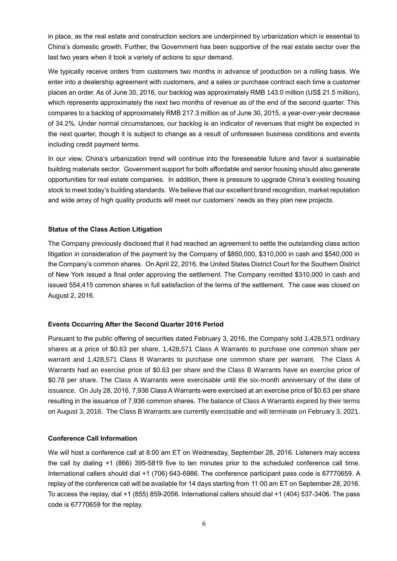in place, as the real estate and construction sectors are underpinned by urbanization which is essential to China's domestic growth. Further, the Government has been supportive of the real estate sector over the last two years when it took a variety of actions to spur demand.

We typically receive orders from customers two months in advance of production on a rolling basis. We enter into a dealership agreement with customers, and a sales or purchase contract each time a customer places an order. As of June 30, 2016, our backlog was approximately RMB 143.0 million (US\$ 21.5 million), which represents approximately the next two months of revenue as of the end of the second quarter. This compares to a backlog of approximately RMB 217.3 million as of June 30, 2015, a year-over-year decrease of 34.2%. Under normal circumstances, our backlog is an indicator of revenues that might be expected in the next quarter, though it is subject to change as a result of unforeseen business conditions and events including credit payment terms.

In our view, China's urbanization trend will continue into the foreseeable future and favor a sustainable building materials sector. Government support for both affordable and senior housing should also generate opportunities for real estate companies. In addition, there is pressure to upgrade China's existing housing stock to meet today's building standards. We believe that our excellent brand recognition, market reputation and wide array of high quality products will meet our customers' needs as they plan new projects.

## **Status of the Class Action Litigation**

The Company previously disclosed that it had reached an agreement to settle the outstanding class action litigation in consideration of the payment by the Company of \$850,000, \$310,000 in cash and \$540,000 in the Company's common shares. On April 22, 2016, the United States District Court for the Southern District of New York issued a final order approving the settlement. The Company remitted \$310,000 in cash and issued 554,415 common shares in full satisfaction of the terms of the settlement. The case was closed on August 2, 2016.

## **Events Occurring After the Second Quarter 2016 Period**

Pursuant to the public offering of securities dated February 3, 2016, the Company sold 1,428,571 ordinary shares at a price of \$0.63 per share, 1,428,571 Class A Warrants to purchase one common share per warrant and 1,428,571 Class B Warrants to purchase one common share per warrant. The Class A Warrants had an exercise price of \$0.63 per share and the Class B Warrants have an exercise price of \$0.78 per share. The Class A Warrants were exercisable until the six-month anniversary of the date of issuance. On July 28, 2016, 7,936 Class A Warrants were exercised at an exercise price of \$0.63 per share resulting in the issuance of 7,936 common shares. The balance of Class A Warrants expired by their terms on August 3, 2016. The Class B Warrants are currently exercisable and will terminate on February 3, 2021.

## **Conference Call Information**

We will host a conference call at 8:00 am ET on Wednesday, September 28, 2016. Listeners may access the call by dialing +1 (866) 395-5819 five to ten minutes prior to the scheduled conference call time. International callers should dial +1 (706) 643-6986. The conference participant pass code is 67770659. A replay of the conference call will be available for 14 days starting from 11:00 am ET on September 28, 2016. To access the replay, dial +1 (855) 859-2056. International callers should dial +1 (404) 537-3406. The pass code is 67770659 for the replay.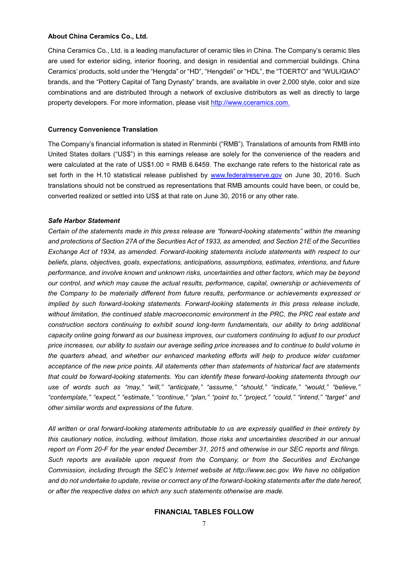#### **About China Ceramics Co., Ltd.**

China Ceramics Co., Ltd. is a leading manufacturer of ceramic tiles in China. The Company's ceramic tiles are used for exterior siding, interior flooring, and design in residential and commercial buildings. China Ceramics' products, sold under the "Hengda" or "HD", "Hengdeli" or "HDL", the "TOERTO" and "WULIQIAO" brands, and the "Pottery Capital of Tang Dynasty" brands, are available in over 2,000 style, color and size combinations and are distributed through a network of exclusive distributors as well as directly to large property developers. For more information, please visit [http://www.cceramics.com.](http://www.cceramics.com/)

#### **Currency Convenience Translation**

The Company's financial information is stated in Renminbi ("RMB"). Translations of amounts from RMB into United States dollars ("US\$") in this earnings release are solely for the convenience of the readers and were calculated at the rate of US\$1.00 = RMB 6.6459. The exchange rate refers to the historical rate as set forth in the H.10 statistical release published by [www.federalreserve.gov](http://www.federalreserve.gov/) on June 30, 2016. Such translations should not be construed as representations that RMB amounts could have been, or could be, converted realized or settled into US\$ at that rate on June 30, 2016 or any other rate.

#### *Safe Harbor Statement*

*Certain of the statements made in this press release are "forward-looking statements" within the meaning and protections of Section 27A of the Securities Act of 1933, as amended, and Section 21E of the Securities Exchange Act of 1934, as amended. Forward-looking statements include statements with respect to our beliefs, plans, objectives, goals, expectations, anticipations, assumptions, estimates, intentions, and future performance, and involve known and unknown risks, uncertainties and other factors, which may be beyond our control, and which may cause the actual results, performance, capital, ownership or achievements of the Company to be materially different from future results, performance or achievements expressed or implied by such forward-looking statements. Forward-looking statements in this press release include, without limitation, the continued stable macroeconomic environment in the PRC, the PRC real estate and construction sectors continuing to exhibit sound long-term fundamentals, our ability to bring additional capacity online going forward as our business improves, our customers continuing to adjust to our product price increases, our ability to sustain our average selling price increases and to continue to build volume in the quarters ahead, and whether our enhanced marketing efforts will help to produce wider customer acceptance of the new price points. All statements other than statements of historical fact are statements that could be forward-looking statements. You can identify these forward-looking statements through our use of words such as "may," "will," "anticipate," "assume," "should," "indicate," "would," "believe," "contemplate," "expect," "estimate," "continue," "plan," "point to," "project," "could," "intend," "target" and other similar words and expressions of the future.* 

*All written or oral forward-looking statements attributable to us are expressly qualified in their entirety by this cautionary notice, including, without limitation, those risks and uncertainties described in our annual report on Form 20-F for the year ended December 31, 2015 and otherwise in our SEC reports and filings. Such reports are available upon request from the Company, or from the Securities and Exchange Commission, including through the SEC's Internet website at http://www.sec.gov. We have no obligation and do not undertake to update, revise or correct any of the forward-looking statements after the date hereof, or after the respective dates on which any such statements otherwise are made.*

#### **FINANCIAL TABLES FOLLOW**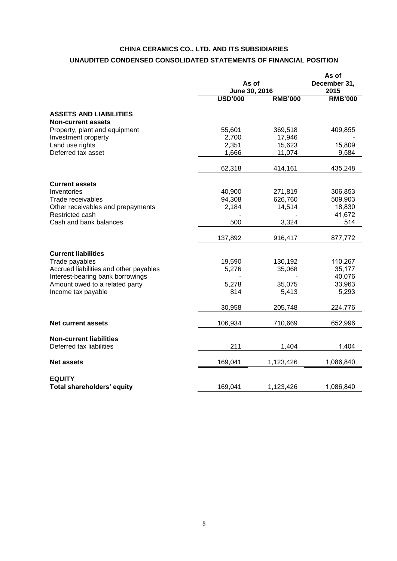# **CHINA CERAMICS CO., LTD. AND ITS SUBSIDIARIES UNAUDITED CONDENSED CONSOLIDATED STATEMENTS OF FINANCIAL POSITION**

|                                                                                          | As of<br>June 30, 2016 | As of<br>December 31,<br>2015 |                           |
|------------------------------------------------------------------------------------------|------------------------|-------------------------------|---------------------------|
|                                                                                          | <b>USD'000</b>         | <b>RMB'000</b>                | <b>RMB'000</b>            |
| <b>ASSETS AND LIABILITIES</b><br><b>Non-current assets</b>                               |                        |                               |                           |
| Property, plant and equipment<br>Investment property                                     | 55,601<br>2,700        | 369,518<br>17,946             | 409,855                   |
| Land use rights<br>Deferred tax asset                                                    | 2,351<br>1,666         | 15,623<br>11,074              | 15,809<br>9,584           |
|                                                                                          | 62,318                 | 414,161                       | 435,248                   |
| <b>Current assets</b>                                                                    |                        |                               |                           |
| Inventories<br>Trade receivables                                                         | 40,900<br>94,308       | 271,819<br>626,760            | 306,853<br>509,903        |
| Other receivables and prepayments<br>Restricted cash<br>Cash and bank balances           | 2,184<br>500           | 14,514<br>3,324               | 18,830<br>41,672<br>514   |
|                                                                                          | 137,892                | 916,417                       | 877,772                   |
|                                                                                          |                        |                               |                           |
| <b>Current liabilities</b><br>Trade payables                                             | 19,590                 | 130,192                       | 110,267                   |
| Accrued liabilities and other payables                                                   | 5,276                  | 35,068                        | 35,177                    |
| Interest-bearing bank borrowings<br>Amount owed to a related party<br>Income tax payable | 5,278<br>814           | 35,075<br>5,413               | 40,076<br>33,963<br>5,293 |
|                                                                                          | 30,958                 | 205,748                       | 224,776                   |
| <b>Net current assets</b>                                                                | 106,934                | 710,669                       | 652,996                   |
| <b>Non-current liabilities</b><br>Deferred tax liabilities                               | 211                    | 1,404                         | 1,404                     |
| <b>Net assets</b>                                                                        | 169,041                | 1,123,426                     | 1,086,840                 |
| <b>EQUITY</b>                                                                            |                        |                               |                           |
| Total shareholders' equity                                                               | 169,041                | 1,123,426                     | 1,086,840                 |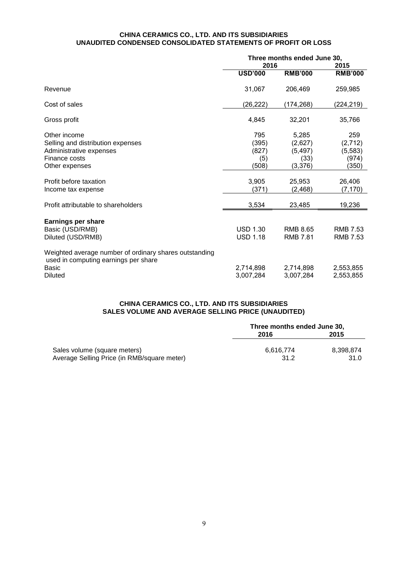#### **CHINA CERAMICS CO., LTD. AND ITS SUBSIDIARIES UNAUDITED CONDENSED CONSOLIDATED STATEMENTS OF PROFIT OR LOSS**

|                                                                                                                           | Three months ended June 30,<br>2016   |                                                 | 2015                                         |
|---------------------------------------------------------------------------------------------------------------------------|---------------------------------------|-------------------------------------------------|----------------------------------------------|
|                                                                                                                           | <b>USD'000</b>                        | <b>RMB'000</b>                                  | <b>RMB'000</b>                               |
| Revenue                                                                                                                   | 31,067                                | 206,469                                         | 259,985                                      |
| Cost of sales                                                                                                             | (26, 222)                             | (174, 268)                                      | (224, 219)                                   |
| Gross profit                                                                                                              | 4,845                                 | 32,201                                          | 35,766                                       |
| Other income<br>Selling and distribution expenses<br>Administrative expenses<br>Finance costs<br>Other expenses           | 795<br>(395)<br>(827)<br>(5)<br>(508) | 5,285<br>(2,627)<br>(5, 497)<br>(33)<br>(3,376) | 259<br>(2,712)<br>(5, 583)<br>(974)<br>(350) |
| Profit before taxation<br>Income tax expense                                                                              | 3,905<br>(371)                        | 25,953<br>(2,468)                               | 26,406<br>(7, 170)                           |
| Profit attributable to shareholders                                                                                       | 3,534                                 | 23,485                                          | 19,236                                       |
| <b>Earnings per share</b><br>Basic (USD/RMB)<br>Diluted (USD/RMB)                                                         | <b>USD 1.30</b><br><b>USD 1.18</b>    | <b>RMB 8.65</b><br><b>RMB 7.81</b>              | <b>RMB 7.53</b><br><b>RMB 7.53</b>           |
| Weighted average number of ordinary shares outstanding<br>used in computing earnings per share<br>Basic<br><b>Diluted</b> | 2,714,898<br>3,007,284                | 2,714,898<br>3,007,284                          | 2,553,855<br>2,553,855                       |

#### **CHINA CERAMICS CO., LTD. AND ITS SUBSIDIARIES SALES VOLUME AND AVERAGE SELLING PRICE (UNAUDITED)**

|                                             | Three months ended June 30, |           |  |
|---------------------------------------------|-----------------------------|-----------|--|
|                                             | 2016                        | 2015      |  |
| Sales volume (square meters)                | 6.616.774                   | 8.398.874 |  |
| Average Selling Price (in RMB/square meter) | 31.2                        | 31.0      |  |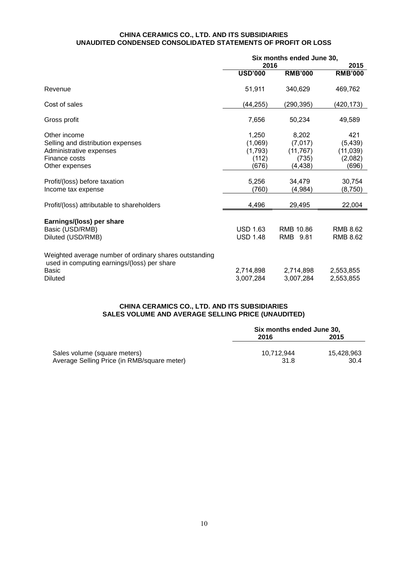#### **CHINA CERAMICS CO., LTD. AND ITS SUBSIDIARIES UNAUDITED CONDENSED CONSOLIDATED STATEMENTS OF PROFIT OR LOSS**

|                                                                                                                                         | Six months ended June 30,                     |                                                    |                                                  |  |
|-----------------------------------------------------------------------------------------------------------------------------------------|-----------------------------------------------|----------------------------------------------------|--------------------------------------------------|--|
|                                                                                                                                         | 2016                                          |                                                    | 2015                                             |  |
|                                                                                                                                         | <b>USD'000</b>                                | <b>RMB'000</b>                                     | <b>RMB'000</b>                                   |  |
| Revenue                                                                                                                                 | 51,911                                        | 340,629                                            | 469,762                                          |  |
| Cost of sales                                                                                                                           | (44, 255)                                     | (290, 395)                                         | (420,173)                                        |  |
| Gross profit                                                                                                                            | 7,656                                         | 50,234                                             | 49,589                                           |  |
| Other income<br>Selling and distribution expenses<br>Administrative expenses<br>Finance costs<br>Other expenses                         | 1,250<br>(1,069)<br>(1,793)<br>(112)<br>(676) | 8,202<br>(7,017)<br>(11, 767)<br>(735)<br>(4, 438) | 421<br>(5, 439)<br>(11, 039)<br>(2,082)<br>(696) |  |
| Profit/(loss) before taxation<br>Income tax expense                                                                                     | 5,256<br>(760)                                | 34,479<br>(4,984)                                  | 30,754<br>(8,750)                                |  |
| Profit/(loss) attributable to shareholders                                                                                              | 4,496                                         | 29,495                                             | 22,004                                           |  |
| Earnings/(loss) per share<br>Basic (USD/RMB)<br>Diluted (USD/RMB)                                                                       | <b>USD 1.63</b><br><b>USD 1.48</b>            | RMB 10.86<br>RMB 9.81                              | <b>RMB 8.62</b><br><b>RMB 8.62</b>               |  |
| Weighted average number of ordinary shares outstanding<br>used in computing earnings/(loss) per share<br><b>Basic</b><br><b>Diluted</b> | 2,714,898<br>3,007,284                        | 2,714,898<br>3,007,284                             | 2,553,855<br>2,553,855                           |  |

#### **CHINA CERAMICS CO., LTD. AND ITS SUBSIDIARIES SALES VOLUME AND AVERAGE SELLING PRICE (UNAUDITED)**

|                                                                             | Six months ended June 30, |                    |  |
|-----------------------------------------------------------------------------|---------------------------|--------------------|--|
|                                                                             | 2016                      | 2015               |  |
| Sales volume (square meters)<br>Average Selling Price (in RMB/square meter) | 10.712.944<br>31.8        | 15.428.963<br>30.4 |  |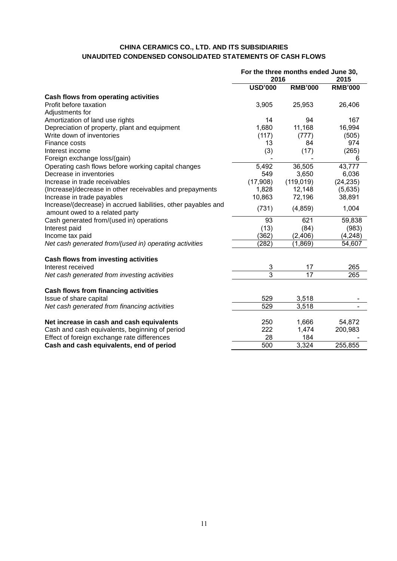# **CHINA CERAMICS CO., LTD. AND ITS SUBSIDIARIES UNAUDITED CONDENSED CONSOLIDATED STATEMENTS OF CASH FLOWS**

| <b>RMB'000</b><br><b>RMB'000</b><br><b>USD'000</b><br>Cash flows from operating activities<br>Profit before taxation<br>3,905<br>25,953<br>26,406<br>Adjustments for<br>Amortization of land use rights<br>14<br>167<br>94<br>1,680<br>11,168<br>16,994<br>Depreciation of property, plant and equipment<br>(117)<br>Write down of inventories<br>(777)<br>(505)<br>974<br>Finance costs<br>13<br>84<br>(3)<br>(265)<br>Interest income<br>(17)<br>Foreign exchange loss/(gain)<br>6 |
|--------------------------------------------------------------------------------------------------------------------------------------------------------------------------------------------------------------------------------------------------------------------------------------------------------------------------------------------------------------------------------------------------------------------------------------------------------------------------------------|
|                                                                                                                                                                                                                                                                                                                                                                                                                                                                                      |
|                                                                                                                                                                                                                                                                                                                                                                                                                                                                                      |
|                                                                                                                                                                                                                                                                                                                                                                                                                                                                                      |
|                                                                                                                                                                                                                                                                                                                                                                                                                                                                                      |
|                                                                                                                                                                                                                                                                                                                                                                                                                                                                                      |
|                                                                                                                                                                                                                                                                                                                                                                                                                                                                                      |
|                                                                                                                                                                                                                                                                                                                                                                                                                                                                                      |
|                                                                                                                                                                                                                                                                                                                                                                                                                                                                                      |
|                                                                                                                                                                                                                                                                                                                                                                                                                                                                                      |
|                                                                                                                                                                                                                                                                                                                                                                                                                                                                                      |
| 36,505<br>43,777<br>5,492<br>Operating cash flows before working capital changes                                                                                                                                                                                                                                                                                                                                                                                                     |
| Decrease in inventories<br>549<br>3,650<br>6,036                                                                                                                                                                                                                                                                                                                                                                                                                                     |
| (17,908)<br>(119, 019)<br>Increase in trade receivables<br>(24, 235)                                                                                                                                                                                                                                                                                                                                                                                                                 |
| (Increase)/decrease in other receivables and prepayments<br>1,828<br>12,148<br>(5,635)                                                                                                                                                                                                                                                                                                                                                                                               |
| 10,863<br>72,196<br>Increase in trade payables<br>38,891                                                                                                                                                                                                                                                                                                                                                                                                                             |
| Increase/(decrease) in accrued liabilities, other payables and<br>(4, 859)<br>1,004<br>(731)<br>amount owed to a related party                                                                                                                                                                                                                                                                                                                                                       |
| Cash generated from/(used in) operations<br>93<br>621<br>59,838                                                                                                                                                                                                                                                                                                                                                                                                                      |
| (13)<br>(983)<br>Interest paid<br>(84)                                                                                                                                                                                                                                                                                                                                                                                                                                               |
| Income tax paid<br>(362)<br>(2, 406)<br>(4,248)                                                                                                                                                                                                                                                                                                                                                                                                                                      |
| (282)<br>(1,869)<br>54,607<br>Net cash generated from/(used in) operating activities                                                                                                                                                                                                                                                                                                                                                                                                 |
| <b>Cash flows from investing activities</b>                                                                                                                                                                                                                                                                                                                                                                                                                                          |
| 3<br>265<br>Interest received<br>17                                                                                                                                                                                                                                                                                                                                                                                                                                                  |
| $\overline{3}$<br>$\overline{17}$<br>265<br>Net cash generated from investing activities                                                                                                                                                                                                                                                                                                                                                                                             |
| Cash flows from financing activities                                                                                                                                                                                                                                                                                                                                                                                                                                                 |
| 529<br>Issue of share capital<br>3,518                                                                                                                                                                                                                                                                                                                                                                                                                                               |
| 529<br>Net cash generated from financing activities<br>3,518                                                                                                                                                                                                                                                                                                                                                                                                                         |
| Net increase in cash and cash equivalents<br>250<br>1,666<br>54,872                                                                                                                                                                                                                                                                                                                                                                                                                  |
| 222<br>200,983<br>Cash and cash equivalents, beginning of period<br>1,474                                                                                                                                                                                                                                                                                                                                                                                                            |
| Effect of foreign exchange rate differences<br>28<br>184                                                                                                                                                                                                                                                                                                                                                                                                                             |
| 3,324<br>500<br>255,855<br>Cash and cash equivalents, end of period                                                                                                                                                                                                                                                                                                                                                                                                                  |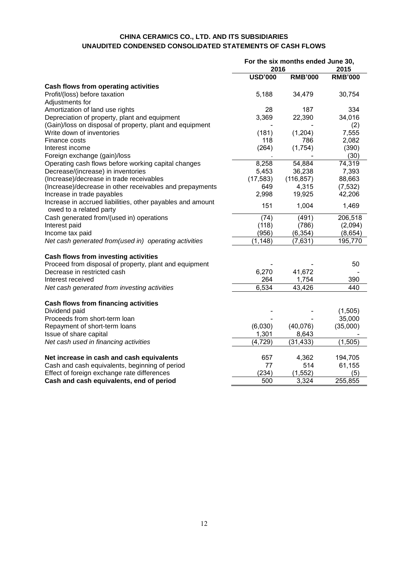# **CHINA CERAMICS CO., LTD. AND ITS SUBSIDIARIES UNAUDITED CONDENSED CONSOLIDATED STATEMENTS OF CASH FLOWS**

|                                                                                       | For the six months ended June 30, |                |                |
|---------------------------------------------------------------------------------------|-----------------------------------|----------------|----------------|
|                                                                                       | 2016                              |                | 2015           |
|                                                                                       | <b>USD'000</b>                    | <b>RMB'000</b> | <b>RMB'000</b> |
| <b>Cash flows from operating activities</b>                                           |                                   |                |                |
| Profit/(loss) before taxation                                                         | 5,188                             | 34,479         | 30,754         |
| Adjustments for                                                                       |                                   |                |                |
| Amortization of land use rights                                                       | 28                                | 187            | 334            |
| Depreciation of property, plant and equipment                                         | 3,369                             | 22,390         | 34,016         |
| (Gain)/loss on disposal of property, plant and equipment                              |                                   |                | (2)            |
| Write down of inventories                                                             | (181)                             | (1,204)        | 7,555          |
| Finance costs                                                                         | 118                               | 786            | 2,082          |
| Interest income                                                                       | (264)                             | (1,754)        | (390)          |
| Foreign exchange (gain)/loss                                                          |                                   |                | (30)           |
| Operating cash flows before working capital changes                                   | 8,258                             | 54,884         | 74,319         |
| Decrease/(increase) in inventories                                                    | 5,453                             | 36,238         | 7,393          |
| (Increase)/decrease in trade receivables                                              | (17, 583)                         | (116, 857)     | 88,663         |
| (Increase)/decrease in other receivables and prepayments                              | 649                               | 4,315          | (7, 532)       |
| Increase in trade payables                                                            | 2,998                             | 19,925         | 42,206         |
| Increase in accrued liabilities, other payables and amount<br>owed to a related party | 151                               | 1,004          | 1,469          |
| Cash generated from/(used in) operations                                              | (74)                              | (491)          | 206,518        |
| Interest paid                                                                         | (118)                             | (786)          | (2,094)        |
| Income tax paid                                                                       | (956)                             | (6, 354)       | (8,654)        |
| Net cash generated from(used in) operating activities                                 | (1, 148)                          | (7,631)        | 195,770        |
| Cash flows from investing activities                                                  |                                   |                |                |
| Proceed from disposal of property, plant and equipment                                |                                   |                | 50             |
| Decrease in restricted cash                                                           | 6,270                             | 41,672         |                |
| Interest received                                                                     | 264                               | 1,754          | 390            |
| Net cash generated from investing activities                                          | 6,534                             | 43,426         | 440            |
|                                                                                       |                                   |                |                |
| Cash flows from financing activities<br>Dividend paid                                 |                                   |                | (1,505)        |
| Proceeds from short-term loan                                                         |                                   |                | 35,000         |
| Repayment of short-term loans                                                         | (6,030)                           | (40,076)       | (35,000)       |
| Issue of share capital                                                                | 1,301                             | 8,643          |                |
| Net cash used in financing activities                                                 | (4, 729)                          | (31, 433)      | (1, 505)       |
|                                                                                       |                                   |                |                |
| Net increase in cash and cash equivalents                                             | 657                               | 4,362          | 194,705        |
| Cash and cash equivalents, beginning of period                                        | 77                                | 514            | 61,155         |
| Effect of foreign exchange rate differences                                           | (234)                             | (1, 552)       | (5)            |
| Cash and cash equivalents, end of period                                              | 500                               | 3,324          | 255,855        |